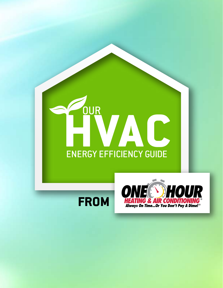# **HVAC** ENERGY EFFICIENCY GUIDE **OUR**



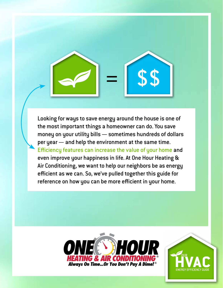Looking for ways to save energy around the house is one of the most important things a homeowner can do. You save money on your utility bills — sometimes hundreds of dollars per year — and help the environment at the same time. Efficiency features can increase the value of your home and even improve your happiness in life. At One Hour Heating & Air Conditioning, we want to help our neighbors be as energy efficient as we can. So, we've pulled together this guide for reference on how you can be more efficient in your home.

= \$\$



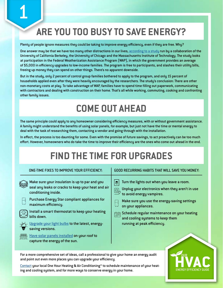### **ARE YOU TOO BUSY TO SAVE ENERGY?**

#### Plenty of people ignore measures they could be taking to improve energy efficiency, even if they are free. Why?

One answer may be that we have too many other distractions in our lives, [according to a study](http://e2e.haas.berkeley.edu/pdf/workingpapers/WP016.pdf) run by a collaboration of the University of California Berkeley, the University of Chicago and the Massachusetts Institute of Technology. The study looks at participation in the Federal Weatherization Assistance Program (WAP), in which the government provides an average of \$5,000 in efficiency upgrades to low-income families. The program is free to participants, and slashes their utility bills, freeing up money they can spend on other things. There's no apparent downside.

But in the study, only 2 percent of control group families bothered to apply to the program, and only 15 percent of households applied even after they were heavily encouraged by the researchers. The study's conclusion: There are other non-monetary costs at play. To take advantage of WAP, families have to spend time filling out paperwork, communicating with contractors and dealing with construction on their home. That's all while working, commuting, cooking and confronting other family issues.

#### **COME OUT AHEAD**

The same principle could apply to any homeowner considering efficiency measures, with or without government assistance. A family might understand the benefits of using solar panels, for example, but just not have the time or mental energy to deal with the task of researching them, contacting a vendor and going through with the installation.

In effect, the process is too daunting for some. Even with the promise of future savings, to act proactively can be too much effort. However, homeowners who do take the time to improve their efficiency are the ones who come out ahead in the end.

#### **FIND THE TIME FOR UPGRADES**

|  | ONE-TIME FIXES TO IMPROVE YOUR EFFICIENCY: |  |
|--|--------------------------------------------|--|
|  |                                            |  |

- Make sure your insulation is up to par and you seal any leaks or cracks to keep your heat and air conditioning inside.
	- Purchase Energy Star compliant appliances for maximum efficiency.
	- Install a smart thermostat to keep your heating bills down.
	- [Upgrade your light bulbs](https://www.mistersparky.com/expert-tips/) to the latest, energysaving versions.
- <sup>(988)</sup>, [Have solar panels installed](https://www.mistersparky.com/expert-tips/) **on your roof to**<br>미미 capture the energy of the sun.

#### GOOD RECURRING HABITS THAT WILL SAVE YOU MONEY:

- $\mathbf{E}$  Turn the lights out when you leave a room.
- $\overset{\textcircled{\tiny{}}}{\longrightarrow}$  Unplug your electronics when they aren't in use
- to avoid energy vampires.
- Make sure you use the energy-saving settings on your appliances.
- Schedule regular maintenance on your heating and cooling systems to keep them running at peak efficiency.

For a more comprehensive set of ideas, call a professional to give your home an energy audit and point out even more places you can upgrade your efficiency.

[Contact](https://www.onehourheatandair.com/request-appointment/) your local One Hour Heating & Air Conditioning® to schedule maintenance of your heating and cooling system, and for more ways to conserve energy in your home.

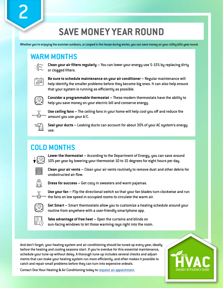#### **SAVE MONEY YEAR ROUND**

Whether you're enjoying the summer outdoors, or cooped in the house during winter, you can save money on your utility bills year-round.

| r |  |
|---|--|
| ٦ |  |
| ٠ |  |
|   |  |

**WARM MONTHS**<br>Clean your air filters regularly – You can lower your energy use 5-15% by replacing dirty ... or clogged filters.



 **Be sure to schedule maintenance on your air conditioner –** Regular maintenance will help identify the smaller problems before they become big ones. It can also help ensure that your system is running as efficiently as possible.



 **Consider a programmable thermostat –** These modern thermostats have the ability to help you save money on your electric bill and conserve energy.



 **Use ceiling fans –** The ceiling fans in your home will help cool you off and reduce the amount you use your A/C.



 **Seal your ducts –** Leaking ducts can account for about 30% of your AC system's energy use.

#### **COLD MONTHS**



 **Lower the thermostat –** According to the Department of Energy, you can save around 10% per year by lowering your thermostat 10 to 15 degrees for eight hours per day.



 **Clean your air vents –** Clean your air vents routinely to remove dust and other debris for unobstructed air flow.



**Dress for success –** Get cozy in sweaters and warm pajamas.



 **Use your fan –** Flip the directional switch so that your fan blades turn clockwise and run the fans on low speed in occupied rooms to circulate the warm air.



 **Get Smart –** Smart thermostats allow you to customize a heating schedule around your routine from anywhere with a user-friendly smartphone app.



 **Take advantage of free heat –** Open the curtains and blinds on sun-facing windows to let those warming rays right into the room.

And don't forget, your heating system and air conditioning should be tuned up every year, ideally before the heating and cooling seasons start. If you're overdue for this essential maintenance, schedule your tune-up without delay. A thorough tune-up includes several checks and adjustments that can make your heating system run more efficiently, and often makes it possible to catch and repair small problems before they can turn into expensive ordeals.



Contact One Hour Heating & Air Conditioning today to [request an appointment.](https://www.onehourheatandair.com/request-appointment/#~M9q8j23)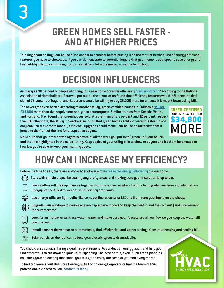#### **GREEN HOMES SELL FASTER - AND AT HIGHER PRICES**

Thinking about selling your house? One aspect to consider before putting it on the market is what kind of energy-efficiency features you have to showcase. If you can demonstrate to potential buyers that your home is equipped to save energy and keep utility bills to a minimum, you can sell it for a lot more money -- and faster, to boot.

#### **DECISION INFLUENCERS**

As many as 90 percent of people shopping for a new home consider efficiency "[very important,](http://realtytimes.com/)" according to the National Association of Homebuilders. A survey put out by the association found that efficiency features would influence the decision of 72 percent of buyers, and 61 percent would be willing to pay \$5,000 more for a house if it meant lower utility bills.

The news gets even better: According to another study, green-certified houses in California [sell for](http://content.usatoday.com/communities/greenhouse/post/2012/07/study-green-homes-sell-for-9-more-in-california/1#.YA8mKHdKiHG)  [\\$34,800](http://content.usatoday.com/communities/greenhouse/post/2012/07/study-green-homes-sell-for-9-more-in-california/1#.YA8mKHdKiHG) more than their equivalent non-green counterparts. Similar studies from Seattle, Wash., and Portland, Ore., found that greenhouses sold at a premium of 8.5 percent and 12 percent, respectively. Furthermore, the study in Seattle also found that green homes sold 22 percent faster. So not only can you make more money, efficiency upgrades could make your house so attractive that it jumps to the front of the line for prospective buyers.

3



Make sure that your real estate agent is aware of all the work you put in to "green up" your house, and that it's highlighted in the sales listing. Keep copies of your utility bills to show to buyers and let them be amazed at how low you're able to keep your monthly costs.

# **HOW CAN I INCREASE MY EFFICIENCY?**

Before it's time to sell, there are a whole host of ways to [increase the energy efficiency](https://www.mistersparky.com/expert-tips/) of your home:

- Start with simple steps like sealing any drafty areas and making sure your insulation is up to par.
	- People often sell their appliances together with the house, so when it's time to upgrade, purchase models that are Energy-Star certified to meet strict efficiency standards.
	- Use energy-efficient light bulbs like compact fluorescents or LEDs to illuminate your home on the cheap.
	- Upgrade your windows to double or even triple-pane models to keep the heat in and the cold out (and vice versa in the summertime).
	- Look for an instant or tankless water heater, and make sure your faucets are all low-flow so you keep the water bill down as well.
		- Install a smart thermostat to automatically find efficiencies and garner savings from your heating and cooling bill.

Solar panels on the roof can reduce your electricity costs dramatically.

You should also consider hiring a qualified professional to conduct an energy audit and help you find other ways to cut down on your utility spending. The best part is, even if you aren't planning on selling your house any time soon, you still get to enjoy the savings yourself every month.

To find out more about One Hour Heating & Air Conditioning Corporate or find the team of HVAC professionals closest to you, [contact us today](https://www.onehourheatandair.com/request-appointment/#~P0H7m33).

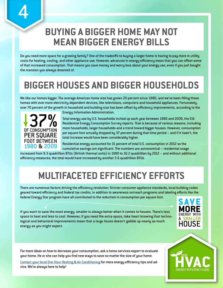#### **BUYING A BIGGER HOME MAY NOT MEAN BIGGER ENERGY BILLS**

Do you need more space for a growing family? One of the tradeoffs to buying a larger home is having to pay more in utility costs for heating, cooling, and other appliance use. However, advances in energy efficiency mean that you can offset some of that increased consumption. That means you save money and worry less about your energy use, even if you just bought the mansion you always dreamed of.

# **BIGGER HOUSES AND BIGGER HOUSEHOLDS**

We like our homes bigger. The average American home size has grown 20 percent since 1980, and we've been filling those homes with ever more electricity-dependent devices, like televisions, computers and household appliances. Fortunately, over 70 percent of the growth in household and building size has been offset by efficiency improvements, according to the



Energy Information Administration.

Total energy use by U.S. households inched up each year between 1980 and 2009, the EIA Residential Energy Consumption Survey reports. That is because of various reasons, including more households, larger households and a trend toward bigger houses. However, consumption per square foot actually dropped by 37 percent during that time period -- and if it hadn't, the total increase would have been considerably higher.

Residential energy accounted for 21 percent of total U.S. consumption in 2012 so the cumulative savings are significant. The numbers are astronomical -- residential usage

increased from 9.3 quadrillion BTUs (British thermal units) in 1980 to 10.2 quadrillion by 2012 -- and without additional efficiency measures, the total would have increased by another 3.6 quadrillion BTUs.

### **MULTIFACETED EFFICIENCY EFFORTS**

There are numerous factors driving the efficiency revolution: Stricter consumer appliance standards, local building codes geared toward efficiency and federal tax credits, in addition to awareness outreach programs and labeling efforts like the federal Energy Star program have all contributed to the reduction in consumption per square foot.

If you want to save the most energy, smaller is always better when it comes to houses. There's less space to heat and less to cool. However, if you need the extra space, take heart knowing that technological and behavioral improvements mean that a large house doesn't gobble up nearly as much energy as you might expect.





For more ideas on how to decrease your consumption, ask a home services expert to evaluate your home. He or she can help you find new ways to save no matter the size of your home.

[Contact your local One Hour Heating & Air Conditioning](https://www.onehourheatandair.com/request-appointment/#~P0H7m33) for more energy efficiency tips and advice. We're always here to help!